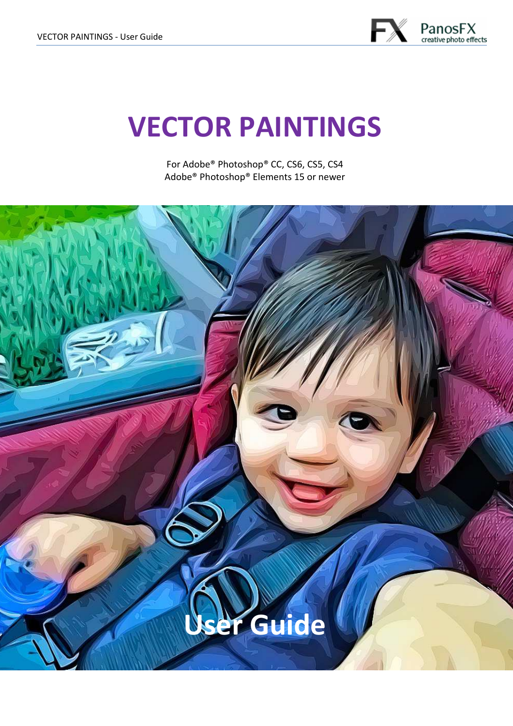

# **VECTOR PAINTINGS**

For Adobe® Photoshop® CC, CS6, CS5, CS4 Adobe® Photoshop® Elements 15 or newer

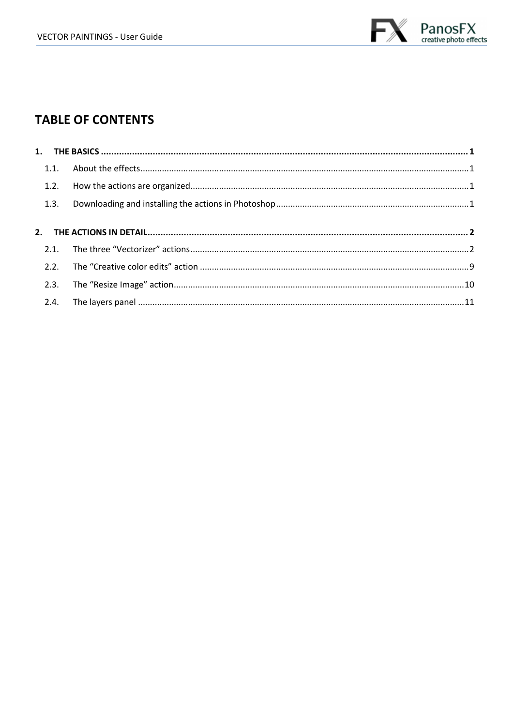

### **TABLE OF CONTENTS**

| 1.2. |  |
|------|--|
| 1.3. |  |
|      |  |
|      |  |
|      |  |
|      |  |
|      |  |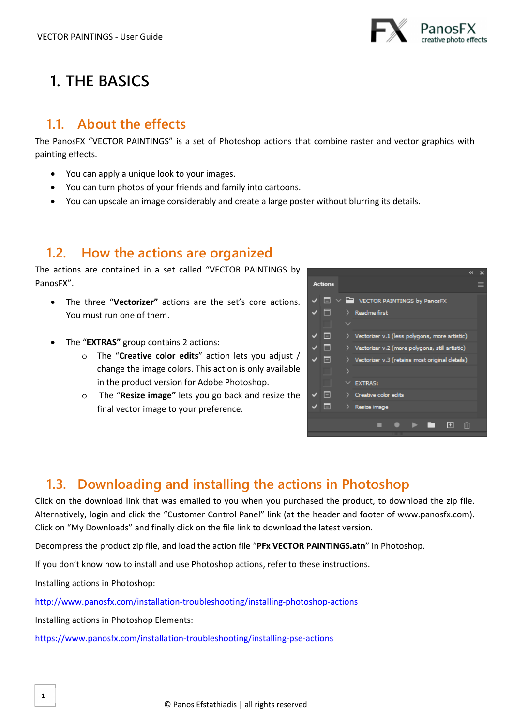

# **1. THE BASICS**

## **1.1. About the effects**

The PanosFX "VECTOR PAINTINGS" is a set of Photoshop actions that combine raster and vector graphics with painting effects.

- You can apply a unique look to your images.
- You can turn photos of your friends and family into cartoons.
- You can upscale an image considerably and create a large poster without blurring its details.

# **1.2. How the actions are organized**

The actions are contained in a set called "VECTOR PAINTINGS by PanosFX".

- The three "**Vectorizer"** actions are the set's core actions. You must run one of them.
- The "**EXTRAS"** group contains 2 actions:
	- o The "**Creative color edits**" action lets you adjust / change the image colors. This action is only available in the product version for Adobe Photoshop.
	- o The "**Resize image"** lets you go back and resize the final vector image to your preference.



### **1.3. Downloading and installing the actions in Photoshop**

Click on the download link that was emailed to you when you purchased the product, to download the zip file. Alternatively, login and click the "Customer Control Panel" link (at the header and footer of www.panosfx.com). Click on "My Downloads" and finally click on the file link to download the latest version.

Decompress the product zip file, and load the action file "**PFx VECTOR PAINTINGS.atn**" in Photoshop.

If you don't know how to install and use Photoshop actions, refer to these instructions.

Installing actions in Photoshop:

1

http://www.panosfx.com/installation-troubleshooting/installing-photoshop-actions

Installing actions in Photoshop Elements:

https://www.panosfx.com/installation-troubleshooting/installing-pse-actions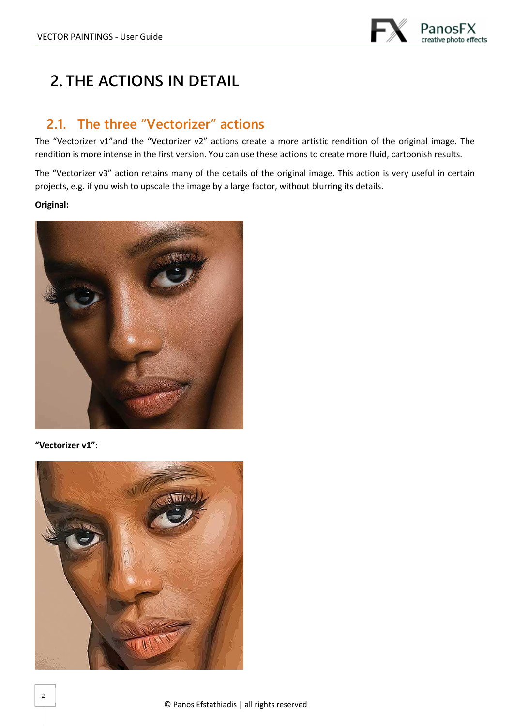

# **2. THE ACTIONS IN DETAIL**

# **2.1. The three "Vectorizer" actions**

The "Vectorizer v1"and the "Vectorizer v2" actions create a more artistic rendition of the original image. The rendition is more intense in the first version. You can use these actions to create more fluid, cartoonish results.

The "Vectorizer v3" action retains many of the details of the original image. This action is very useful in certain projects, e.g. if you wish to upscale the image by a large factor, without blurring its details.

#### **Original:**



**"Vectorizer v1":** 

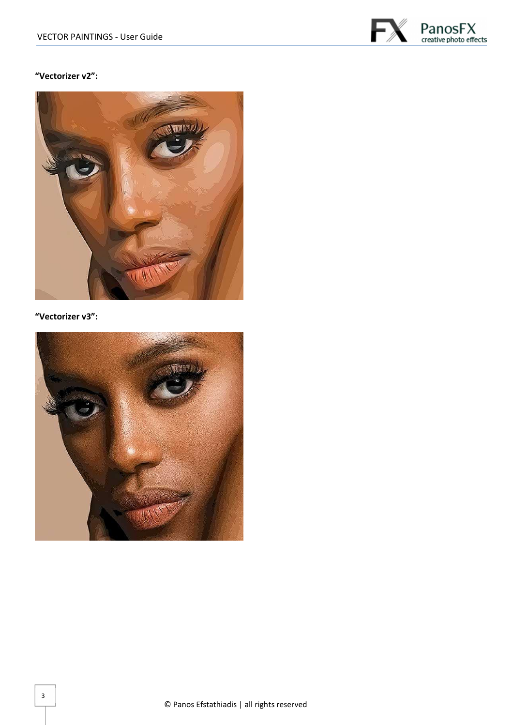

#### **"Vectorizer v2":**



#### **"Vectorizer v3":**

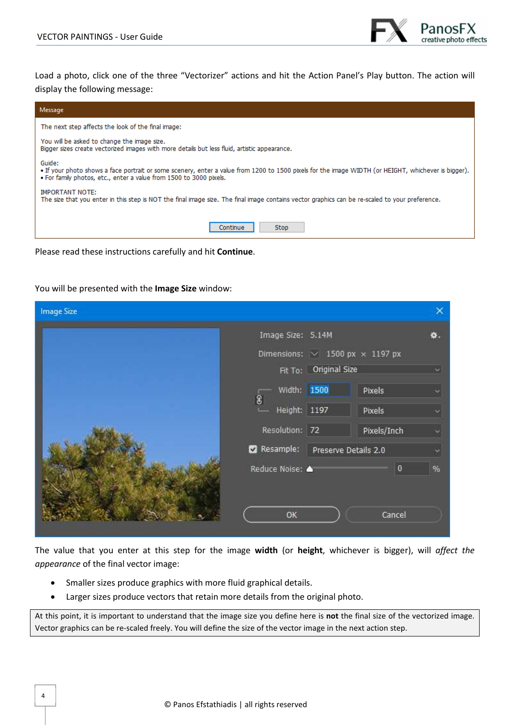

Load a photo, click one of the three "Vectorizer" actions and hit the Action Panel's Play button. The action will display the following message:

| Message                                                                                                                                                                                                                             |  |  |  |  |
|-------------------------------------------------------------------------------------------------------------------------------------------------------------------------------------------------------------------------------------|--|--|--|--|
| The next step affects the look of the final image:                                                                                                                                                                                  |  |  |  |  |
| You will be asked to change the image size.<br>Bigger sizes create vectorized images with more details but less fluid, artistic appearance.                                                                                         |  |  |  |  |
| Guide:<br>• If your photo shows a face portrait or some scenery, enter a value from 1200 to 1500 pixels for the image WIDTH (or HEIGHT, whichever is bigger).<br>. For family photos, etc., enter a value from 1500 to 3000 pixels. |  |  |  |  |
| <b>IMPORTANT NOTE:</b><br>The size that you enter in this step is NOT the final image size. The final image contains vector graphics can be re-scaled to your preference.                                                           |  |  |  |  |
| <b>Stop</b><br>Continue                                                                                                                                                                                                             |  |  |  |  |

Please read these instructions carefully and hit **Continue**.

#### You will be presented with the **Image Size** window:

| <b>Image Size</b> |                   |                               |                                             |    |
|-------------------|-------------------|-------------------------------|---------------------------------------------|----|
|                   | Image Size: 5.14M |                               |                                             | ₩. |
|                   |                   |                               | Dimensions: $\sim$ 1500 px $\times$ 1197 px |    |
|                   |                   | Fit To: Original Size         |                                             | ×. |
|                   | Width: 1500       |                               | Pixels                                      | ×  |
|                   | 8<br>Height: 1197 |                               | Pixels                                      |    |
|                   |                   | Resolution: 72<br>Pixels/Inch |                                             |    |
|                   | Resample:         | Preserve Details 2.0          |                                             | c  |
|                   | Reduce Noise: 4   |                               | $\overline{\mathbf{0}}$                     | %  |
|                   |                   |                               |                                             |    |
|                   |                   |                               |                                             |    |
|                   | OK                |                               | Cancel                                      |    |

The value that you enter at this step for the image **width** (or **height**, whichever is bigger), will *affect the appearance* of the final vector image:

- Smaller sizes produce graphics with more fluid graphical details.
- Larger sizes produce vectors that retain more details from the original photo.

At this point, it is important to understand that the image size you define here is **not** the final size of the vectorized image. Vector graphics can be re-scaled freely. You will define the size of the vector image in the next action step.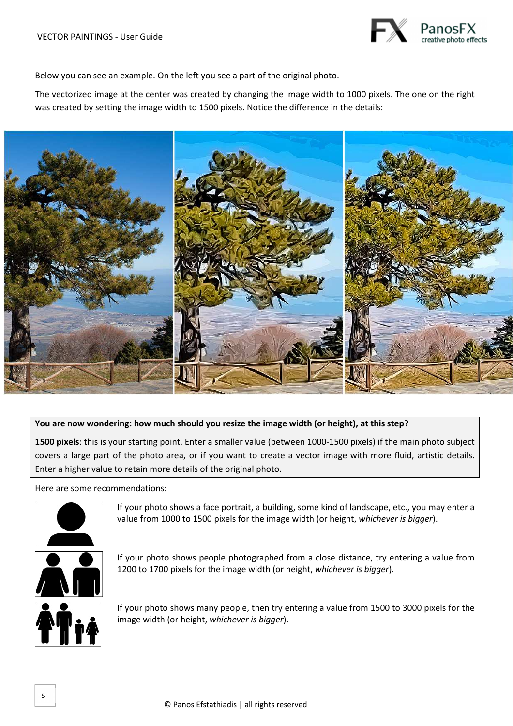

Below you can see an example. On the left you see a part of the original photo.

The vectorized image at the center was created by changing the image width to 1000 pixels. The one on the right was created by setting the image width to 1500 pixels. Notice the difference in the details:



#### **You are now wondering: how much should you resize the image width (or height), at this step**?

**1500 pixels**: this is your starting point. Enter a smaller value (between 1000-1500 pixels) if the main photo subject covers a large part of the photo area, or if you want to create a vector image with more fluid, artistic details. Enter a higher value to retain more details of the original photo.

Here are some recommendations:



If your photo shows a face portrait, a building, some kind of landscape, etc., you may enter a value from 1000 to 1500 pixels for the image width (or height, *whichever is bigger*).



If your photo shows people photographed from a close distance, try entering a value from 1200 to 1700 pixels for the image width (or height, *whichever is bigger*).



If your photo shows many people, then try entering a value from 1500 to 3000 pixels for the image width (or height, *whichever is bigger*).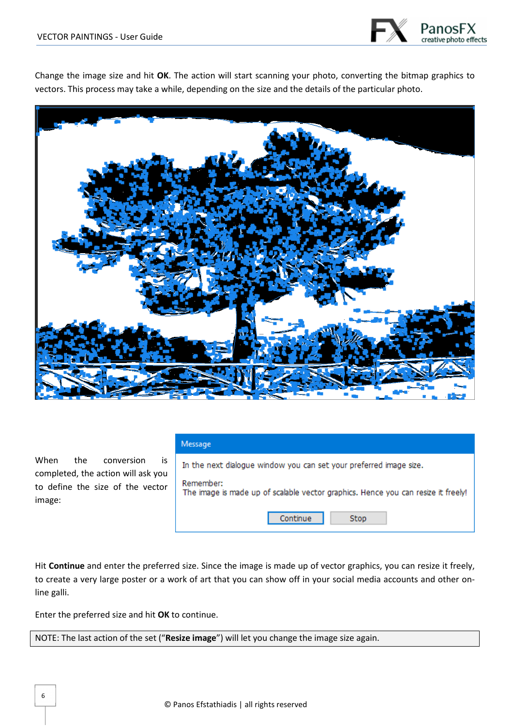

Change the image size and hit **OK**. The action will start scanning your photo, converting the bitmap graphics to vectors. This process may take a while, depending on the size and the details of the particular photo.



When the conversion is completed, the action will ask you to define the size of the vector image:

|  | ٠ |  |
|--|---|--|
|  |   |  |

| In the next dialogue window you can set your preferred image size.                             |  |  |  |  |  |
|------------------------------------------------------------------------------------------------|--|--|--|--|--|
| Remember:<br>The image is made up of scalable vector graphics. Hence you can resize it freely! |  |  |  |  |  |
| Continue<br>Stop                                                                               |  |  |  |  |  |

Hit **Continue** and enter the preferred size. Since the image is made up of vector graphics, you can resize it freely, to create a very large poster or a work of art that you can show off in your social media accounts and other online galli.

Enter the preferred size and hit **OK** to continue.

NOTE: The last action of the set ("**Resize image**") will let you change the image size again.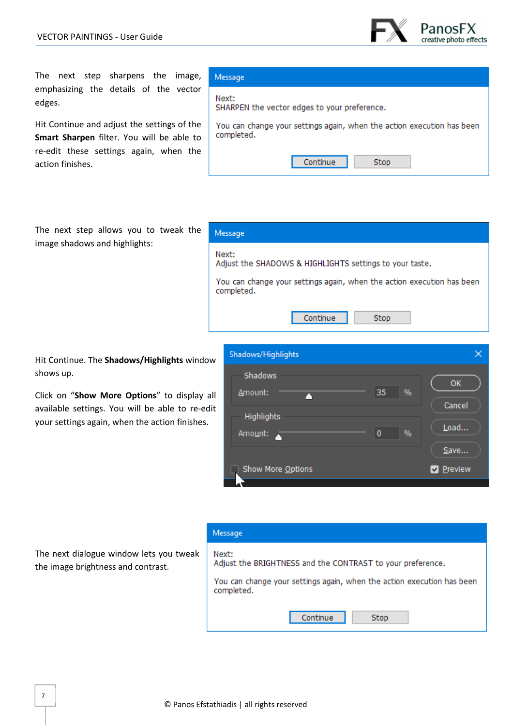

The next step sharpens the image, emphasizing the details of the vector edges.

Hit Continue and adjust the settings of the **Smart Sharpen** filter. You will be able to re-edit these settings again, when the action finishes.

The next step allows you to tweak the image shadows and highlights:

Hit Continue. The **Shadows/Highlights** window shows up.

Click on "**Show More Options**" to display all available settings. You will be able to re-edit your settings again, when the action finishes.



You can change your settings again, when the action execution has been

#### Message

Message

completed.

Message

Next:

SHARPEN the vector edges to your preference.

Continue

Adjust the SHADOWS & HIGHLIGHTS settings to your taste.

You can change your settings again, when the action execution has been

Stop

Next:

Next:

Adjust the BRIGHTNESS and the CONTRAST to your preference.

You can change your settings again, when the action execution has been completed.

Continue

Stop

The next dialogue window lets you tweak the image brightness and contrast.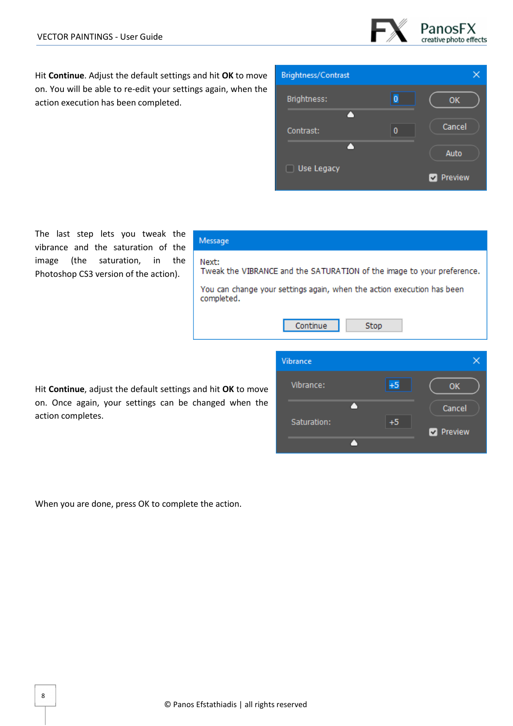

Hit **Continue**. Adjust the default settings and hit **OK** to move on. You will be able to re-edit your settings again, when the action execution has been completed.



The last step lets you tweak the vibrance and the saturation of the image (the saturation, in the Photoshop CS3 version of the action).

| Message                                                                              |           |      |    |  |  |  |
|--------------------------------------------------------------------------------------|-----------|------|----|--|--|--|
| Next:<br>Tweak the VIBRANCE and the SATURATION of the image to your preference.      |           |      |    |  |  |  |
| You can change your settings again, when the action execution has been<br>completed. |           |      |    |  |  |  |
|                                                                                      | Continue  | Stop |    |  |  |  |
|                                                                                      | Vibrance  |      |    |  |  |  |
| and hit <b>OK</b> to move                                                            | Vibrance: | $+5$ | ок |  |  |  |

Hit **Continue**, adjust the default settings and hit **OK** to move on. Once again, your settings can be changed when the action completes.

Δ Cancel  $+5$ Saturation: Preview Δ

When you are done, press OK to complete the action.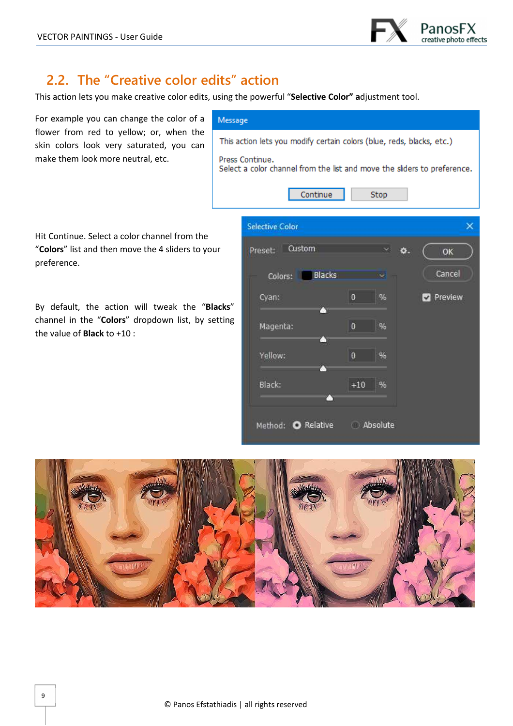

# **2.2. The "Creative color edits" action**

This action lets you make creative color edits, using the powerful "**Selective Color" a**djustment tool.

| For example you can change the color of a                                                                                                   | Message                                                                                     |                        |                |               |    |  |                |
|---------------------------------------------------------------------------------------------------------------------------------------------|---------------------------------------------------------------------------------------------|------------------------|----------------|---------------|----|--|----------------|
| flower from red to yellow; or, when the<br>skin colors look very saturated, you can                                                         | This action lets you modify certain colors (blue, reds, blacks, etc.)                       |                        |                |               |    |  |                |
| make them look more neutral, etc.                                                                                                           | Press Continue.<br>Select a color channel from the list and move the sliders to preference. |                        |                |               |    |  |                |
|                                                                                                                                             |                                                                                             | Continue               |                | Stop          |    |  |                |
| Hit Continue. Select a color channel from the                                                                                               |                                                                                             | <b>Selective Color</b> |                |               |    |  | ×              |
| "Colors" list and then move the 4 sliders to your<br>preference.                                                                            |                                                                                             | Custom<br>Preset:      |                |               | o. |  | OK             |
|                                                                                                                                             |                                                                                             | Blacks<br>Colors:      |                |               |    |  | Cancel         |
| By default, the action will tweak the "Blacks"<br>channel in the "Colors" dropdown list, by setting<br>the value of <b>Black</b> to $+10$ : |                                                                                             | Cyan:<br>n             | $\theta$       | %             |    |  | <b>Preview</b> |
|                                                                                                                                             |                                                                                             | Magenta:<br>O          | $\overline{0}$ | $\frac{1}{2}$ |    |  |                |
|                                                                                                                                             |                                                                                             | Yellow:<br>r٦          | $\overline{0}$ | %             |    |  |                |
|                                                                                                                                             |                                                                                             | Black:                 | $+10$          | %             |    |  |                |
|                                                                                                                                             |                                                                                             | Method: O Relative     |                | Absolute      |    |  |                |

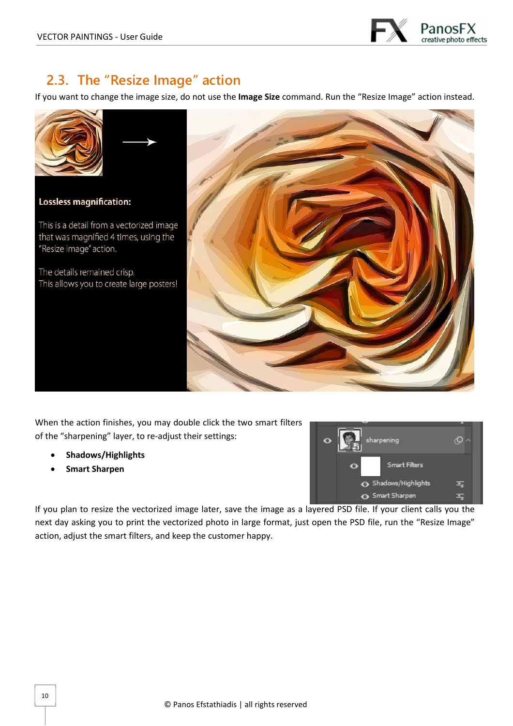

# **2.3. The "Resize Image" action**

If you want to change the image size, do not use the **Image Size** command. Run the "Resize Image" action instead.



#### **Lossless magnification:**

This is a detail from a vectorized image that was magnified 4 times, using the "Resize image" action.

The details remained crisp. This allows you to create large posters!



When the action finishes, you may double click the two smart filters of the "sharpening" layer, to re-adjust their settings:

- **Shadows/Highlights**
- **Smart Sharpen**



If you plan to resize the vectorized image later, save the image as a layered PSD file. If your client calls you the next day asking you to print the vectorized photo in large format, just open the PSD file, run the "Resize Image" action, adjust the smart filters, and keep the customer happy.